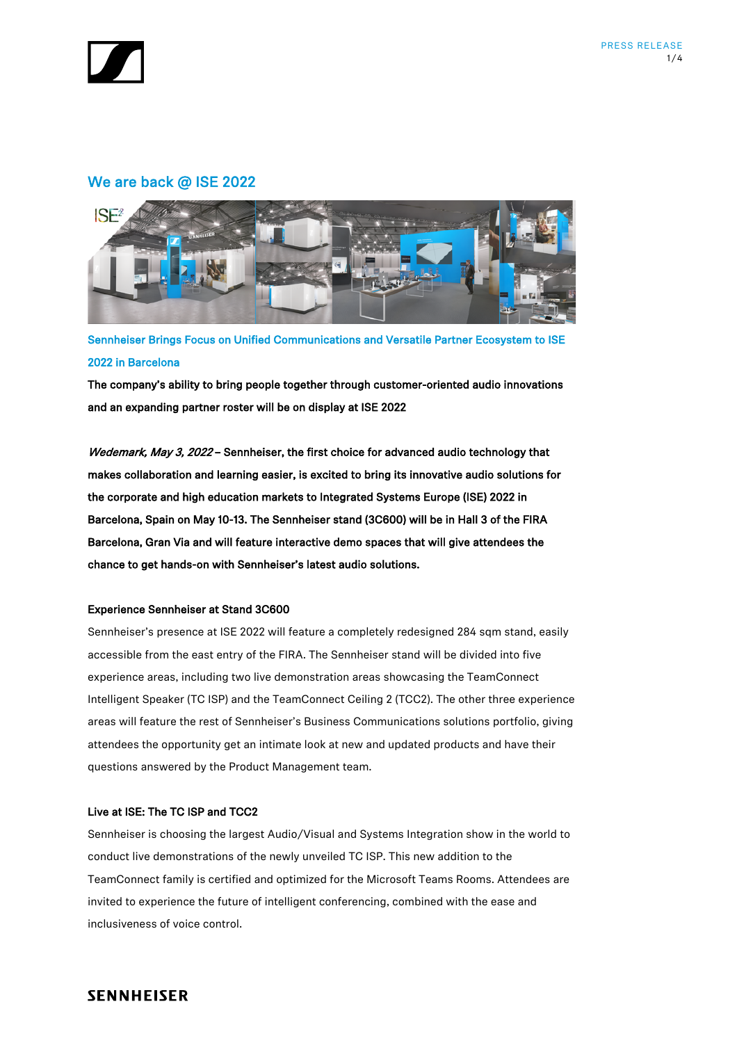

# We are back @ ISE 2022



Sennheiser Brings Focus on Unified Communications and Versatile Partner Ecosystem to ISE 2022 in Barcelona

The company's ability to bring people together through customer-oriented audio innovations and an expanding partner roster will be on display at ISE 2022

Wedemark, May 3, 2022 - Sennheiser, the first choice for advanced audio technology that makes collaboration and learning easier, is excited to bring its innovative audio solutions for the corporate and high education markets to Integrated Systems Europe (ISE) 2022 in Barcelona, Spain on May 10-13. The Sennheiser stand (3C600) will be in Hall 3 of the FIRA Barcelona, Gran Via and will feature interactive demo spaces that will give attendees the chance to get hands-on with Sennheiser's latest audio solutions.

### Experience Sennheiser at Stand 3C600

Sennheiser's presence at ISE 2022 will feature a completely redesigned 284 sqm stand, easily accessible from the east entry of the FIRA. The Sennheiser stand will be divided into five experience areas, including two live demonstration areas showcasing the TeamConnect Intelligent Speaker (TC ISP) and the TeamConnect Ceiling 2 (TCC2). The other three experience areas will feature the rest of Sennheiser's Business Communications solutions portfolio, giving attendees the opportunity get an intimate look at new and updated products and have their questions answered by the Product Management team.

## Live at ISE: The TC ISP and TCC2

Sennheiser is choosing the largest Audio/Visual and Systems Integration show in the world to conduct live demonstrations of the newly unveiled TC ISP. This new addition to the TeamConnect family is certified and optimized for the Microsoft Teams Rooms. Attendees are invited to experience the future of intelligent conferencing, combined with the ease and inclusiveness of voice control.

## **SENNHEISER**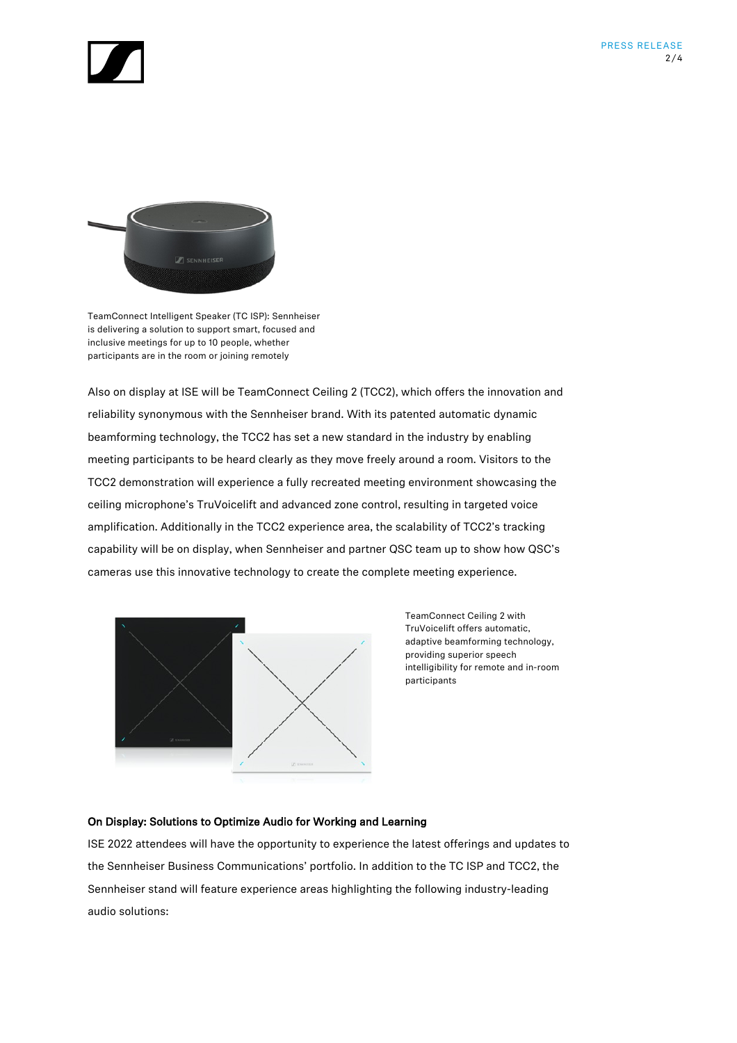



TeamConnect Intelligent Speaker (TC ISP): Sennheiser is delivering a solution to support smart, focused and inclusive meetings for up to 10 people, whether participants are in the room or joining remotely

Also on display at ISE will be TeamConnect Ceiling 2 (TCC2), which offers the innovation and reliability synonymous with the Sennheiser brand. With its patented automatic dynamic beamforming technology, the TCC2 has set a new standard in the industry by enabling meeting participants to be heard clearly as they move freely around a room. Visitors to the TCC2 demonstration will experience a fully recreated meeting environment showcasing the ceiling microphone's TruVoicelift and advanced zone control, resulting in targeted voice amplification. Additionally in the TCC2 experience area, the scalability of TCC2's tracking capability will be on display, when Sennheiser and partner QSC team up to show how QSC's cameras use this innovative technology to create the complete meeting experience.



TeamConnect Ceiling 2 with TruVoicelift offers automatic, adaptive beamforming technology, providing superior speech intelligibility for remote and in-room participants

## On Display: Solutions to Optimize Audio for Working and Learning

ISE 2022 attendees will have the opportunity to experience the latest offerings and updates to the Sennheiser Business Communications' portfolio. In addition to the TC ISP and TCC2, the Sennheiser stand will feature experience areas highlighting the following industry-leading audio solutions: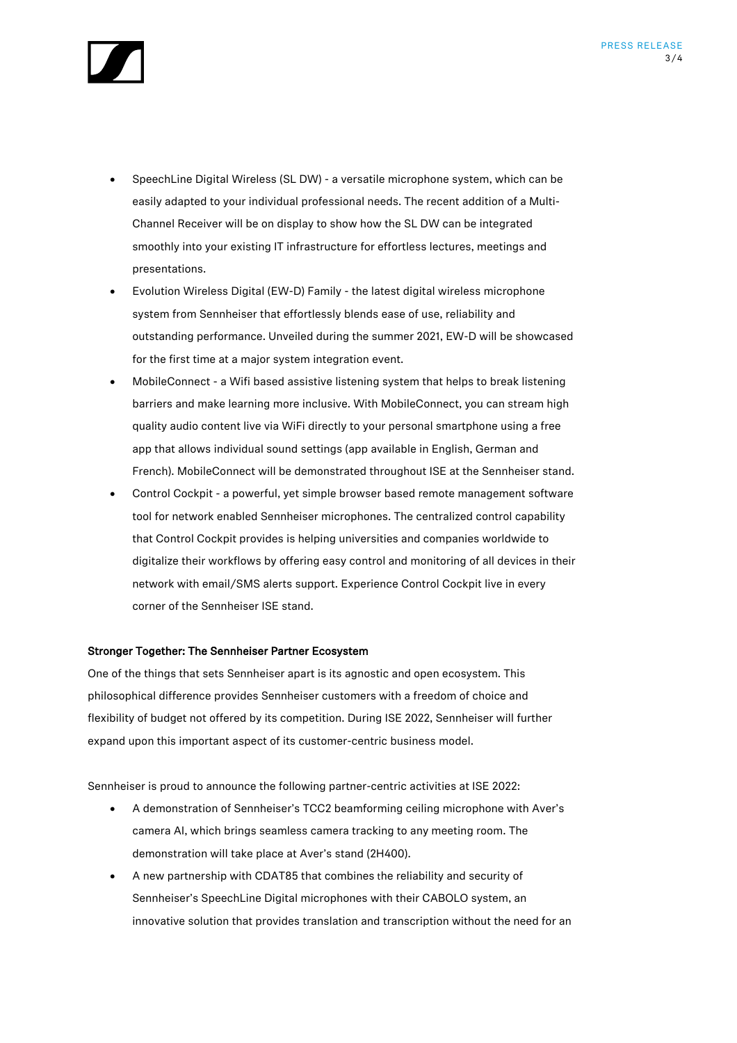

- SpeechLine Digital Wireless (SL DW) a versatile microphone system, which can be easily adapted to your individual professional needs. The recent addition of a Multi-Channel Receiver will be on display to show how the SL DW can be integrated smoothly into your existing IT infrastructure for effortless lectures, meetings and presentations.
- Evolution Wireless Digital (EW-D) Family the latest digital wireless microphone system from Sennheiser that effortlessly blends ease of use, reliability and outstanding performance. Unveiled during the summer 2021, EW-D will be showcased for the first time at a major system integration event.
- MobileConnect a Wifi based assistive listening system that helps to break listening barriers and make learning more inclusive. With MobileConnect, you can stream high quality audio content live via WiFi directly to your personal smartphone using a free app that allows individual sound settings (app available in English, German and French). MobileConnect will be demonstrated throughout ISE at the Sennheiser stand.
- Control Cockpit a powerful, yet simple browser based remote management software tool for network enabled Sennheiser microphones. The centralized control capability that Control Cockpit provides is helping universities and companies worldwide to digitalize their workflows by offering easy control and monitoring of all devices in their network with email/SMS alerts support. Experience Control Cockpit live in every corner of the Sennheiser ISE stand.

### Stronger Together: The Sennheiser Partner Ecosystem

One of the things that sets Sennheiser apart is its agnostic and open ecosystem. This philosophical difference provides Sennheiser customers with a freedom of choice and flexibility of budget not offered by its competition. During ISE 2022, Sennheiser will further expand upon this important aspect of its customer-centric business model.

Sennheiser is proud to announce the following partner-centric activities at ISE 2022:

- A demonstration of Sennheiser's TCC2 beamforming ceiling microphone with Aver's camera AI, which brings seamless camera tracking to any meeting room. The demonstration will take place at Aver's stand (2H400).
- A new partnership with CDAT85 that combines the reliability and security of Sennheiser's SpeechLine Digital microphones with their CABOLO system, an innovative solution that provides translation and transcription without the need for an